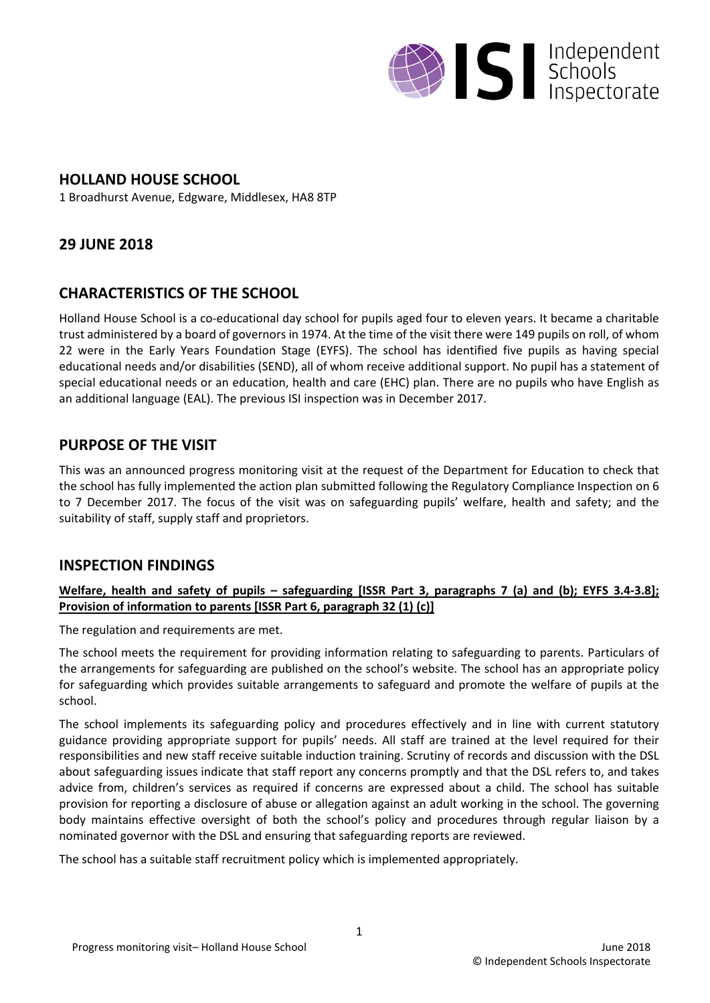

## **HOLLAND HOUSE SCHOOL**

1 Broadhurst Avenue, Edgware, Middlesex, HA8 8TP

# **29 JUNE 2018**

## **CHARACTERISTICS OF THE SCHOOL**

Holland House School is a co-educational day school for pupils aged four to eleven years. It became a charitable trust administered by a board of governors in 1974. At the time of the visit there were 149 pupils on roll, of whom 22 were in the Early Years Foundation Stage (EYFS). The school has identified five pupils as having special educational needs and/or disabilities (SEND), all of whom receive additional support. No pupil has a statement of special educational needs or an education, health and care (EHC) plan. There are no pupils who have English as an additional language (EAL). The previous ISI inspection was in December 2017.

## **PURPOSE OF THE VISIT**

This was an announced progress monitoring visit at the request of the Department for Education to check that the school has fully implemented the action plan submitted following the Regulatory Compliance Inspection on 6 to 7 December 2017. The focus of the visit was on safeguarding pupils' welfare, health and safety; and the suitability of staff, supply staff and proprietors.

### **INSPECTION FINDINGS**

#### Welfare, health and safety of pupils – safeguarding [ISSR Part 3, paragraphs 7 (a) and (b); EYFS 3.4-3.8]; **Provision of information to parents [ISSR Part 6, paragraph 32 (1) (c)]**

The regulation and requirements are met.

The school meets the requirement for providing information relating to safeguarding to parents. Particulars of the arrangements for safeguarding are published on the school's website. The school has an appropriate policy for safeguarding which provides suitable arrangements to safeguard and promote the welfare of pupils at the school.

The school implements its safeguarding policy and procedures effectively and in line with current statutory guidance providing appropriate support for pupils' needs. All staff are trained at the level required for their responsibilities and new staff receive suitable induction training. Scrutiny of records and discussion with the DSL about safeguarding issues indicate that staff report any concerns promptly and that the DSL refers to, and takes advice from, children's services as required if concerns are expressed about a child. The school has suitable provision for reporting a disclosure of abuse or allegation against an adult working in the school. The governing body maintains effective oversight of both the school's policy and procedures through regular liaison by a nominated governor with the DSL and ensuring that safeguarding reports are reviewed.

The school has a suitable staff recruitment policy which is implemented appropriately.